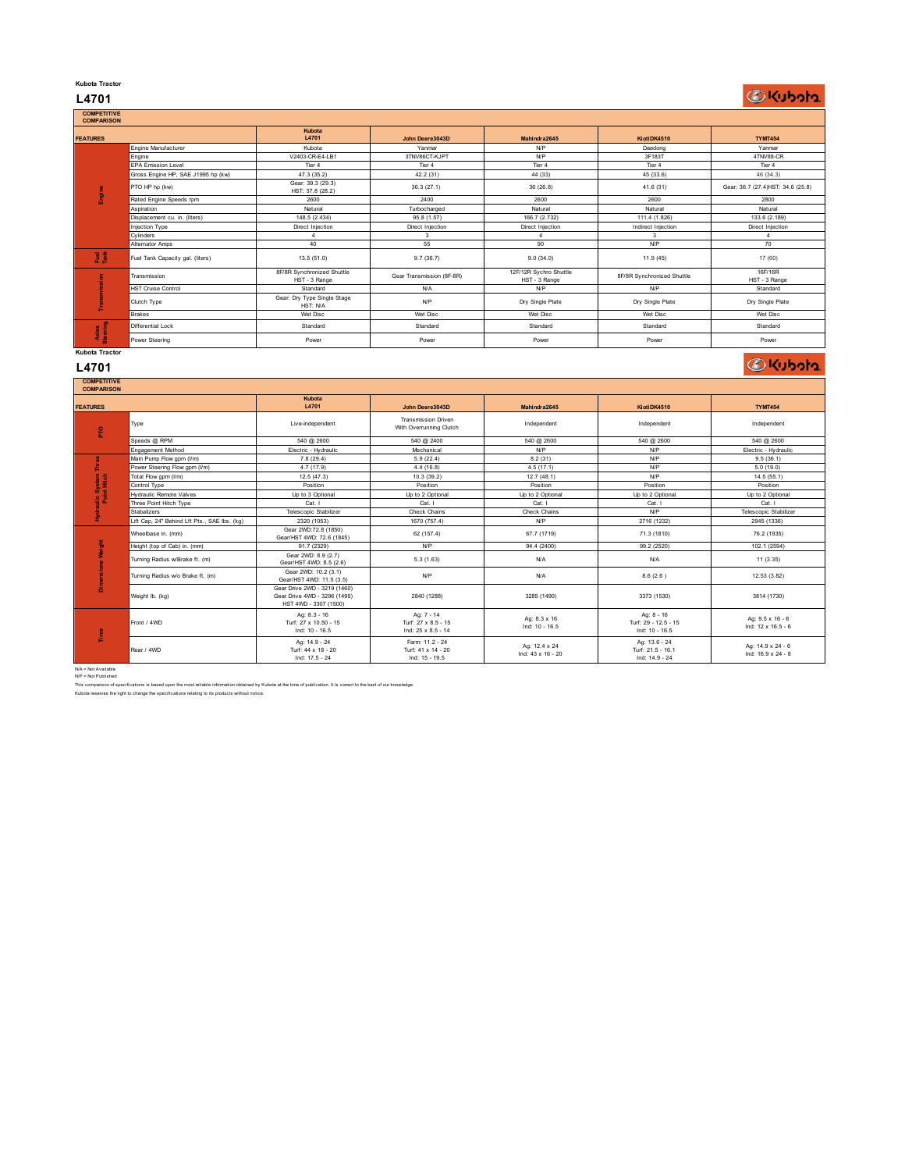## **Kubota Tractor**

# **L4701**

**DKubota** 

| <b>COMPETITIVE</b><br><b>COMPARISON</b> |                                    |                                             |                           |                                         |                            |                                    |
|-----------------------------------------|------------------------------------|---------------------------------------------|---------------------------|-----------------------------------------|----------------------------|------------------------------------|
| <b>FEATURES</b>                         |                                    | Kubota<br>L4701                             | John Deere3043D           | Mahindra2645                            | KiotiDK4510                | <b>TYMT454</b>                     |
|                                         | Engine Manufacturer                | Kubota                                      | Yanmar                    | N/P                                     | Daedong                    | Yanmar                             |
|                                         | Engine                             | V2403-CR-E4-LB1                             | 3TNV86CT-KJPT             | N/P                                     | 3F183T                     | 4TNV88-CR                          |
|                                         | <b>EPA Emission Level</b>          | Tier 4                                      | Tier 4                    | Tier <sub>4</sub>                       | Tier 4                     | Tier 4                             |
|                                         | Gross Engine HP, SAE J1995 hp (kw) | 47.3 (35.2)                                 | 42.2 (31)                 | 44 (33)                                 | 45 (33.6)                  | 46 (34.3)                          |
| Ē                                       | PTO HP hp (kw)                     | Gear: 39.3 (29.3)<br>HST: 37.8 (28.2)       | 36.3(27.1)                | 36(26.8)                                | 41.6(31)                   | Gear: 36.7 (27.4) HST: 34.6 (25.8) |
|                                         | Rated Engine Speeds rpm            | 2600                                        | 2400                      | 2600                                    | 2600                       | 2800                               |
|                                         | Aspiration                         | Natural                                     | Turbocharged              | Natural                                 | Natural                    | Natural                            |
|                                         | Displacement cu. in. (liters)      | 148.5 (2.434)                               | 95.8 (1.57)               | 166.7 (2.732)                           | 111.4 (1.826)              | 133.6 (2.189)                      |
|                                         | Injection Type                     | Direct Injection                            | Direct Injection          | Direct Injection                        | Indirect Injection         | Direct Injection                   |
|                                         | Cylinders                          |                                             | 3                         |                                         | 3                          |                                    |
|                                         | Alternator Amps                    | 40                                          | 55                        | 90                                      | <b>N/P</b>                 | 70                                 |
| 医意                                      | Fuel Tank Capacity gal. (liters)   | 13.5(51.0)                                  | 9.7(36.7)                 | 9.0(34.0)                               | 11.9 (45)                  | 17 (60)                            |
|                                         | Transmission                       | 8F/8R Synchronized Shuttle<br>HST - 3 Range | Gear Transmission (8F-8R) | 12F/12R Sychro Shuttle<br>HST - 3 Range | 8F/8R Synchronized Shuttle | 16F/16R<br>HST - 3 Range           |
|                                         | <b>HST Cruise Control</b>          | Standard                                    | N/A                       | N/P                                     | <b>N/P</b>                 | Standard                           |
|                                         | Clutch Type                        | Gear: Dry Type Single Stage<br>HST: N/A     | N/P                       | Dry Single Plate                        | Dry Single Plate           | Dry Single Plate                   |
|                                         | <b>Brakes</b>                      | Wet Disc                                    | Wet Disc                  | Wet Disc                                | Wet Disc                   | Wet Disc                           |
| Axles<br>Steering                       | Differential Lock                  | Standard                                    | Standard                  | Standard                                | Standard                   | Standard                           |
|                                         | Power Steering                     | Power                                       | Power                     | Power                                   | Power                      | Power                              |
| Kubota Tractor                          |                                    |                                             |                           |                                         |                            |                                    |

**L4701**

**DKubota** 

| Mahindra2645                       | KiotiDK4510                                          | <b>TYMT454</b>                          |
|------------------------------------|------------------------------------------------------|-----------------------------------------|
| Independent                        | Independent                                          | Independent                             |
| 540 @ 2600                         | 540 @ 2600                                           | 540 @ 2600                              |
| N/P                                | NP                                                   | Electric - Hydraulic                    |
| 8.2(31)                            | NP                                                   | 9.5(36.1)                               |
| 4.5(17.1)                          | NP                                                   | 5.0(19.0)                               |
| 12.7(48.1)                         | <b>N/P</b>                                           | 14.5(55.1)                              |
| Position                           | Position                                             | Position                                |
| Up to 2 Optional                   | Up to 2 Optional                                     | Up to 2 Optional                        |
| Cat. I                             | Cat. I                                               | Cat. I                                  |
| Check Chains                       | <b>N/P</b>                                           | Telescopic Stabilizer                   |
| N/P                                | 2716 (1232)                                          | 2945 (1336)                             |
| 67.7 (1719)                        | 71.3 (1810)                                          | 76.2 (1935)                             |
| 94.4 (2400)                        | 99.2 (2520)                                          | 102.1 (2594)                            |
| N/A                                | <b>N/A</b>                                           | 11 (3.35)                               |
| N/A                                | 8.6(2.6)                                             | 12.53 (3.82)                            |
| 3285 (1490)                        | 3373 (1530)                                          | 3814 (1730)                             |
| Ag: 8.3 x 16<br>Ind: 10 - 16.5     | Ag: 8 - 16<br>Turf: 29 - 12.5 - 15<br>Ind: 10 - 16.5 | Ag: 9.5 x 16 - 6<br>Ind: 12 x 16.5 - 6  |
| Ag: 12.4 x 24<br>Ind: 43 x 16 - 20 | Ag: 13.6 - 24<br>Turf: 21.5 - 16.1<br>Ind: 14.9 - 24 | Ag: 14.9 x 24 - 6<br>Ind: 16.9 x 24 - 8 |
|                                    |                                                      |                                         |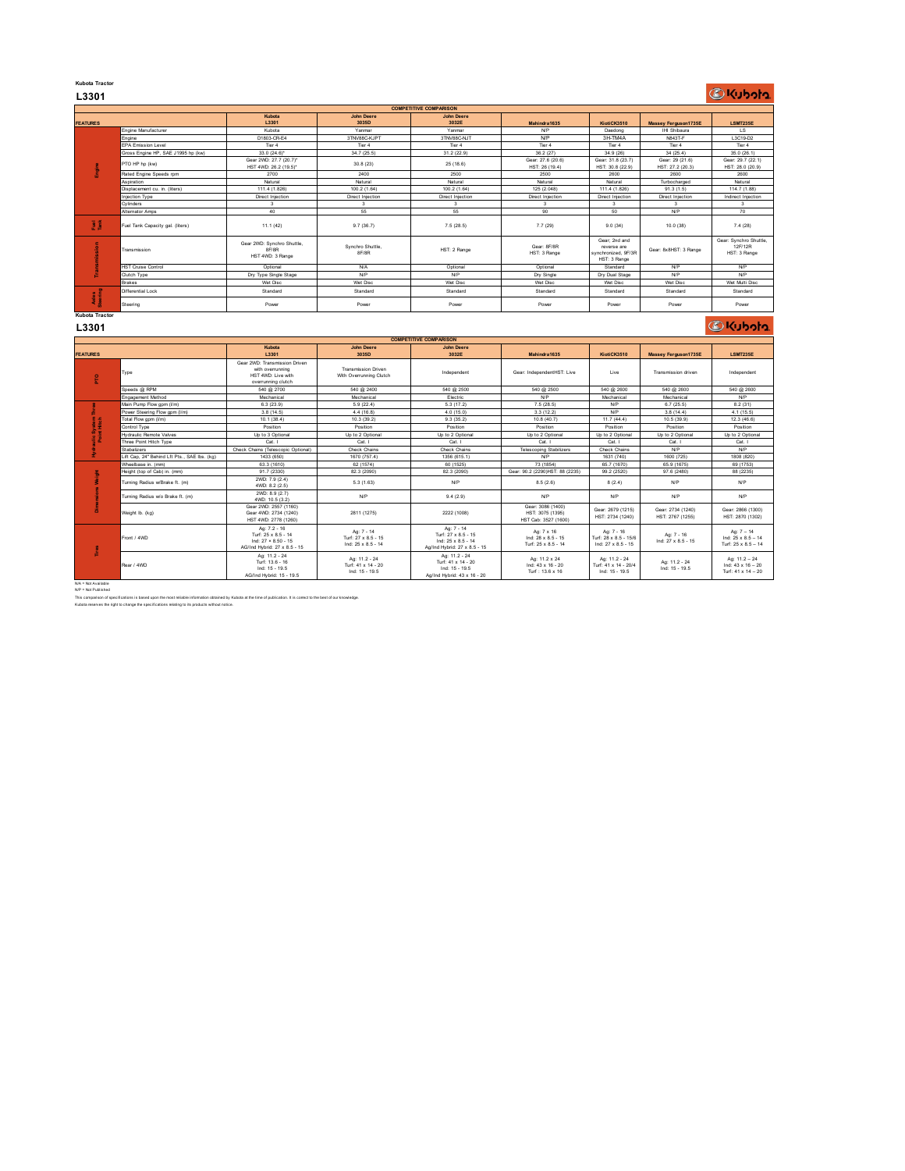### **Kubota Tractor L3301**

|                                 |                                    |                                                         |                            | <b>COMPETITIVE COMPARISON</b> |                                     |                                                                     |                                     |                                                   |
|---------------------------------|------------------------------------|---------------------------------------------------------|----------------------------|-------------------------------|-------------------------------------|---------------------------------------------------------------------|-------------------------------------|---------------------------------------------------|
| <b>FEATURES</b>                 |                                    | Kubota<br>L3301                                         | <b>John Deere</b><br>3035D | <b>John Deere</b><br>3032E    | Mahindra1635                        | KiotiCK3510                                                         | Massey Ferguson1735E                | <b>LSMT235E</b>                                   |
|                                 | Engine Manufacturer                | Kubota                                                  | Yanmar                     | Yanmar                        | NP                                  | Daedong                                                             | IHI Shibaura                        | LS.                                               |
|                                 | Engine                             | D1803-CR-E4                                             | 3TN/88C-KJPT               | 3TNV88C-NJT                   | N/P                                 | 3H-TM4A                                                             | N843T-F                             | L3C19-D2                                          |
|                                 | <b>EPA Emission Level</b>          | Tier 4                                                  | Tier 4                     | Tier 4                        | Tier 4                              | Tier 4                                                              | Tier 4                              | Tier 4                                            |
| <b>Engi</b>                     | Gross Engine HP, SAE J1995 hp (kw) | $33.0(24.6)^*$                                          | 34.7 (25.5)                | 31.2 (22.9)                   | 36.2 (27)                           | 34.9 (26)                                                           | 34 (25.4)                           | 35.0 (26.1)                                       |
|                                 | PTO HP hp (kw)                     | Gear 2WD: 27.7 (20.7)*<br>HST 4WD: 26.2 (19.5)*         | 30.8(23)                   | 25(18.6)                      | Gear: 27.6 (20.6)<br>HST: 26 (19.4) | Gear: 31.8 (23.7)<br>HST: 30.8 (22.9)                               | Gear: 29 (21.6)<br>HST: 27.2 (20.3) | Gear: 29.7 (22.1)<br>HST: 28.0 (20.9)             |
|                                 | Rated Engine Speeds rpm            | 2700                                                    | 2400                       | 2500                          | 2500                                | 2600                                                                | 2600                                | 2600                                              |
|                                 | Aspiration                         | Natural                                                 | Natural                    | Natural                       | Natural                             | Natural                                                             | Turbocharged                        | Natural                                           |
|                                 | Disolacement cu. in. (liters)      | 111.4 (1.826)                                           | 100.2 (1.64)               | 100.2 (1.64)                  | 125 (2.048)                         | 111.4 (1.826)                                                       | 91.3(1.5)                           | 114.7 (1.88)                                      |
|                                 | Injection Type                     | Direct Injection                                        | Direct Injection           | Direct Injection              | Direct Injection                    | Direct Injection                                                    | Direct Injection                    | Indirect Injection                                |
|                                 | Cvlinders                          | 3                                                       | $\mathbf{3}$               | $\mathbf{3}$                  | $\mathbf{3}$                        | $\mathbf{3}$                                                        | $\mathbf{3}$                        | $3 -$                                             |
|                                 | Alternator Amps                    | 40                                                      | 55                         | 55                            | 90                                  | 50                                                                  | NP                                  | 70                                                |
| 3 š                             | Fuel Tank Capacity gal. (liters)   | 11.1(42)                                                | 9.7(36.7)                  | 7.5(28.5)                     | 7.7(29)                             | 9.0(34)                                                             | 10.0(38)                            | 7.4(28)                                           |
| sion                            | Transmission                       | Gear 2WD: Synchro Shuttle.<br>8F/8R<br>HST 4WD: 3 Range | Synchro Shuttle.<br>8F/8R  | HST: 2 Range                  | Gear: 8F/8R<br>HST: 3 Range         | Gear: 2nd and<br>reverse are<br>synchronized, 9F/3R<br>HST: 3 Range | Gear: 8x8HST: 3 Range               | Gear: Synchro Shuttle,<br>12F/12R<br>HST: 3 Range |
|                                 | <b>HST Cruise Control</b>          | Optional                                                | <b>N/A</b>                 | Optional                      | Optional                            | Standard                                                            | <b>N/P</b>                          | <b>N/P</b>                                        |
|                                 | Clutch Type                        | Dry Type Single Stage                                   | <b>N/P</b>                 | <b>NP</b>                     | Dry Single                          | Dry Dual Stage                                                      | NP                                  | <b>N/P</b>                                        |
|                                 | <b>Brakes</b>                      | Wet Disc                                                | Wet Disc                   | Wet Disc                      | Wet Disc                            | Wet Disc                                                            | Wet Disc                            | Wet Multi Disc                                    |
| Axles<br>Steering               | Differential Lock                  | Standard                                                | Standard                   | Standard                      | Standard                            | Standard                                                            | Standard                            | Standard                                          |
|                                 | Steering                           | Power                                                   | Power                      | Power                         | Power                               | Power                                                               | Power                               | Power                                             |
| <b>Kubota Tractor</b><br>1.2204 |                                    |                                                         |                            |                               |                                     |                                                                     |                                     | <b><i>C</i></b> Kuboto                            |

#### **L3301**

|                                 | Transmission                                 | Gear 2WD: Synchro Shuttle,<br><b><i>RF/RR</i></b><br>HST 4WD: 3 Range                         | Synchro Shuttle,<br>8F/8R                               | HST: 2 Range                                                                            | Gear: 8F/8R<br>HST: 3 Range                                   | reverse are<br>synchronized, 9F/3R<br>HST: 3 Range        | Gear: 8x8HST: 3 Range                 | 12F/12R<br>HST: 3 Range                                           |
|---------------------------------|----------------------------------------------|-----------------------------------------------------------------------------------------------|---------------------------------------------------------|-----------------------------------------------------------------------------------------|---------------------------------------------------------------|-----------------------------------------------------------|---------------------------------------|-------------------------------------------------------------------|
|                                 | <b>HST Cruise Control</b>                    | Optional                                                                                      | N/A                                                     | Optional                                                                                | Optional                                                      | Standard                                                  | NP                                    | NP                                                                |
|                                 | Clutch Type                                  | Dry Type Single Stage                                                                         | N/P                                                     | <b>NP</b>                                                                               | Dry Single                                                    | Dry Dual Stage                                            | NP                                    | <b>N/P</b>                                                        |
|                                 | <b>Rrakes</b>                                | Wet Disc                                                                                      | Wet Disc                                                | Wet Disc                                                                                | Wet Disc                                                      | Wet Disc                                                  | Wet Disc                              | Wet Multi Disc                                                    |
| Axles<br>Steering               | Differential Lock                            | Standard                                                                                      | Standard                                                | Standard                                                                                | Standard                                                      | Standard                                                  | Standard                              | Standard                                                          |
|                                 | Steering                                     | Power                                                                                         | Power                                                   | Power                                                                                   | Power                                                         | Power                                                     | Power                                 | Power                                                             |
| <b>Kubota Tractor</b>           |                                              |                                                                                               |                                                         |                                                                                         |                                                               |                                                           |                                       |                                                                   |
| L3301                           |                                              |                                                                                               |                                                         |                                                                                         |                                                               |                                                           |                                       | <b><i>OKubota</i></b>                                             |
|                                 |                                              |                                                                                               |                                                         | <b>COMPETITIVE COMPARISON</b>                                                           |                                                               |                                                           |                                       |                                                                   |
| <b>FEATURES</b>                 |                                              | Kubota<br>L3301                                                                               | <b>John Deere</b><br>3035D                              | <b>John Deere</b><br>3032E                                                              | Mahindra1635                                                  | KiotiCK3510                                               | <b>Massey Ferguson1735E</b>           | <b>LSMT235E</b>                                                   |
| £                               | Type                                         | Gear 2WD: Transmission Driven<br>with overrunning<br>HST 4WD: Live with<br>overrunning clutch | <b>Transmission Driven</b><br>With Overrunning Clutch   | Independent                                                                             | Gear: IndependentHST: Live                                    | Live                                                      | Transmission driven                   | Independent                                                       |
|                                 | Speeds @ RPM                                 | 540 @ 2700                                                                                    | 540 @ 2400                                              | 540 @ 2500                                                                              | 540 @ 2500                                                    | 540 @ 2600                                                | 540 @ 2600                            | 540 @ 2600                                                        |
|                                 | Engagement Method                            | Mechanical                                                                                    | Mechanical                                              | Electric                                                                                | NP                                                            | Mechanical                                                | Mechanical                            | NP                                                                |
|                                 | Main Pump Flow gpm (I/m)                     | 6.3(23.9)                                                                                     | 5.9(22.4)                                               | 5.3(17.2)                                                                               | 7.5(28.5)                                                     | <b>NP</b>                                                 | 6.7(25.5)                             | 8.2(31)                                                           |
|                                 | Power Steering Flow gpm (I/m)                | 3.8(14.5)                                                                                     | 4.4(16.8)                                               | 4.0(15.0)                                                                               | 3.3(12.2)                                                     | <b>NP</b>                                                 | 3.8(14.4)                             | 4.1(15.5)                                                         |
|                                 | Total Flow gpm (I/m)                         | 10.1(38.4)                                                                                    | 10.3(39.2)                                              | 9.3(35.2)                                                                               | 10.8 (40.7)                                                   | 11.7(44.4)                                                | 10.5(39.9)                            | 12.3(46.6)                                                        |
| System <sup>1</sup><br>nt Hitch | Control Type                                 | Position                                                                                      | Position                                                | Position                                                                                | Position                                                      | Position                                                  | Position                              | Position                                                          |
|                                 | <b>Hydraulic Remote Valves</b>               | Up to 3 Optional                                                                              | Up to 2 Optional                                        | Up to 2 Optional                                                                        | Uo to 2 Optional                                              | Up to 2 Optional                                          | Up to 2 Optional                      | Up to 2 Optional                                                  |
| 음호                              | Three Point Hitch Type                       | Cat. I                                                                                        | Cat. I                                                  | Cat. I                                                                                  | Cat. I                                                        | Cat.                                                      | Cat. I                                | Cat. I                                                            |
|                                 | Stabalizers                                  | Check Chains (Telescopic Optional)                                                            | Check Chains                                            | Check Chains                                                                            | <b>Telescoping Stabilizers</b>                                | Check Chains                                              | N/P                                   | NP                                                                |
|                                 | Lift Cap. 24" Behind Lft Pts., SAE Ibs. (kg) | 1433 (650)                                                                                    | 1670 (757.4)                                            | 1356 (615.1)                                                                            | N/P                                                           | 1631 (740)                                                | 1600 (725)                            | 1808 (820)                                                        |
|                                 | Wheelbase in, (mm)                           | 63.3 (1610)                                                                                   | 62 (1574)                                               | 60 (1525)                                                                               | 73 (1854)                                                     | 65.7 (1670)                                               | 65.9 (1675)                           | 69 (1753)                                                         |
|                                 | Height (top of Cab) in. (mm)                 | 91.7 (2330)                                                                                   | 82.3 (2090)                                             | 82.3 (2090)                                                                             | Gear: 90.2 (2290)HST: 88 (2235)                               | 99.2 (2520)                                               | 97.6 (2480)                           | 88 (2235)                                                         |
|                                 | Turning Radius w/Brake ft. (m)               | 2WD: 7.9 (2.4)<br>4WD: 8.2 (2.5)                                                              | 5.3(1.63)                                               | <b>N/P</b>                                                                              | 8.5(2.6)                                                      | 8(2.4)                                                    | N/P                                   | NP                                                                |
|                                 | Turning Radius w/o Brake ft. (m)             | 2WD: 8.9 (2.7)<br>4WD: 10.5 (3.2)                                                             | N/P                                                     | 9.4(2.9)                                                                                | NP                                                            | <b>NP</b>                                                 | NP                                    | N/P                                                               |
| F                               | Weight Ib. (kg)                              | Gear 2WD: 2557 (1160)<br>Gear 4WD: 2734 (1240)<br>HST 4WD: 2778 (1260)                        | 2811 (1275)                                             | 2222 (1008)                                                                             | Gear: 3086 (1400)<br>HST: 3075 (1395)<br>HST Cab: 3527 (1600) | Gear: 2679 (1215)<br>HST: 2734 (1240)                     | Gear: 2734 (1240)<br>HST: 2767 (1255) | Gear: 2866 (1300)<br>HST: 2870 (1302)                             |
| L <sub>ine</sub>                | Front / 4WD                                  | Ag: 7.2 - 16<br>Turf: 25 x 8.5 - 14<br>Ind: 27 × 8.50 - 15<br>AG/Ind Hybrid: 27 x 8.5 - 15    | Ag: 7 - 14<br>Turf: 27 x 8.5 - 15<br>Ind: 25 x 8.5 - 14 | Ag: 7 - 14<br>Turf: 27 x 8.5 - 15<br>Ind: 25 x 8.5 - 14<br>Ag/Ind Hybrid: 27 x 8.5 - 15 | Ag: 7 x 16<br>Ind: 28 x 8.5 - 15<br>Turf: 25 x 8.5 - 14       | Ag: 7 - 16<br>Turf: 28 x 8.5 - 15/6<br>Ind: 27 x 8.5 - 15 | Ag: 7 - 16<br>Ind: 27 x 8.5 - 15      | Ag: $7 - 14$<br>Ind: $25 \times 8.5 - 14$<br>Turf: 25 x 8.5 - 14  |
|                                 | Rear / 4WD                                   | Ag: 11.2 - 24<br>Turf: 13.6 - 16<br>Ind: 15 - 19.5<br>AG/Ind Hybrid: 15 - 19.5                | Ag: 11.2 - 24<br>Turf: 41 x 14 - 20<br>Ind: 15 - 19.5   | Ag: 11.2 - 24<br>Turf: 41 x 14 - 20<br>Ind: 15 - 19.5<br>Ag/Ind Hybrid: 43 x 16 - 20    | Ag: 11.2 x 24<br>Ind: 43 x 16 - 20<br>Turf: 13.6 x 16         | Ag: 11.2 - 24<br>Turf: 41 x 14 - 20/4<br>Ind: 15 - 19.5   | Ag: 11.2 - 24<br>Ind: 15 - 19.5       | Ag: $11.2 - 24$<br>Ind: $43 \times 16 - 20$<br>Turf: 41 x 14 - 20 |
|                                 |                                              |                                                                                               |                                                         |                                                                                         |                                                               |                                                           |                                       |                                                                   |

N/A = Not Available N/P = Not Published

This comparison of specifications is based upon the most reliable information obtained by Kubota at the time of publication. It is correct to the best of our knowledge.<br>Kubota reserves the right to change the specification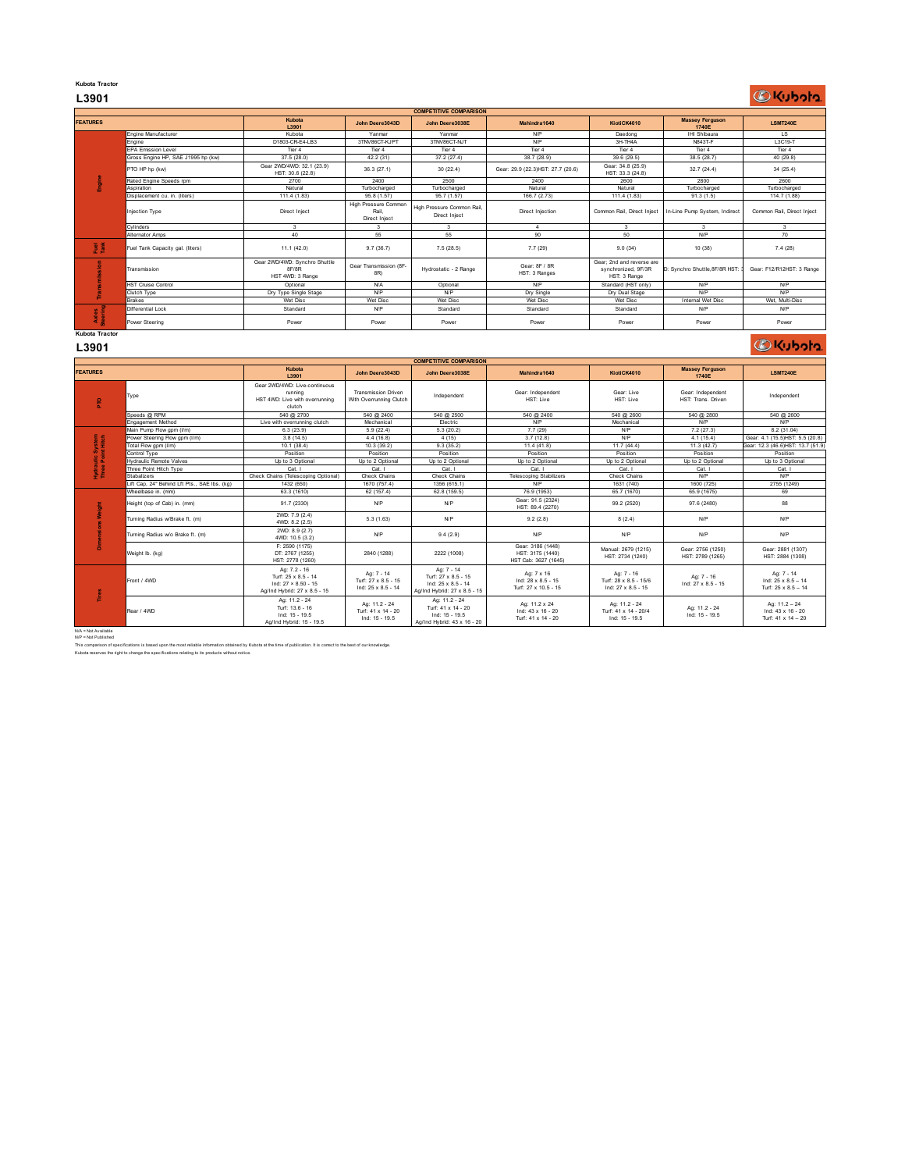# **Kubota Tractor**

# **L3901**

# C Kubota

|                                | <b>COMPETITIVE COMPARISON</b>      |                                                            |                                                       |                                             |                                    |                                                                  |                                 |                            |  |
|--------------------------------|------------------------------------|------------------------------------------------------------|-------------------------------------------------------|---------------------------------------------|------------------------------------|------------------------------------------------------------------|---------------------------------|----------------------------|--|
| <b>FEATURES</b>                |                                    | Kubota<br>L3901                                            | John Deere3043D                                       | John Deere3038E                             | Mahindra1640                       | KiotiCK4010                                                      | <b>Massey Ferguson</b><br>1740E | <b>LSMT240E</b>            |  |
|                                | Engine Manufacturer                | Kubota                                                     | Yanmar                                                | Yanmar                                      | <b>N/P</b>                         | Daedong                                                          | <b>IHI Shibaura</b>             | LS.                        |  |
|                                | Engine                             | D1803-CR-E4-LB3                                            | 3TNV86CT-KJPT                                         | 3TNV86CT-NJT                                | N/P                                | 3H-TH4A                                                          | N843T-F                         | L3C19-T                    |  |
|                                | <b>EPA Emission Level</b>          | Tier 4                                                     | Tier 4                                                | Tier 4                                      | Tier 4                             | Tier 4                                                           | Tier 4                          | Tier 4                     |  |
|                                | Gross Engine HP. SAE J1995 hp (kw) | 37.5 (28.0)                                                | 42.2 (31)                                             | 37.2(27.4)                                  | 38.7(28.9)                         | 39.6 (29.5)                                                      | 38.5 (28.7)                     | 40(29.8)                   |  |
| P<br>m                         | PTO HP hp (kw)                     | Gear 2WD/4WD: 32.1 (23.9)<br>HST: 30.6 (22.8)              | 36.3 (27.1)                                           | 30(22.4)                                    | Gear: 29.9 (22.3) HST: 27.7 (20.6) | Gear: 34.8 (25.9)<br>HST: 33.3 (24.8)                            | 32.7 (24.4)                     | 34(25.4)                   |  |
|                                | Rated Engine Speeds rpm            | 2700                                                       | 2400                                                  | 2500                                        | 2400                               | 2600                                                             | 2800                            | 2600                       |  |
|                                | Aspiration                         | Natural                                                    | Turbocharged                                          | Turbocharged                                | Natural                            | Natural                                                          | Turbocharged                    | Turbocharged               |  |
|                                | Displacement cu. in. (liters)      | 111.4 (1.83)                                               | 95.8 (1.57)                                           | 95.7 (1.57)                                 | 166.7 (2.73)                       | 111.4 (1.83)                                                     | 91.3(1.5)                       | 114.7 (1.88)               |  |
|                                | <b>Injection Type</b>              | Direct Inject                                              | High Pressure Common<br>Rail.<br><b>Direct Inject</b> | High Pressure Common Rail.<br>Direct Inject | Direct Injection                   | Common Rail, Direct Inject                                       | In-Line Pump System, Indirect   | Common Rail, Direct Inject |  |
|                                | Cvlinders                          | 3                                                          | 3                                                     | 3                                           | $\Lambda$                          | $\overline{\mathbf{3}}$                                          | 3                               | 3                          |  |
|                                |                                    |                                                            |                                                       |                                             |                                    |                                                                  |                                 |                            |  |
|                                | Alternator Amps                    | 40                                                         | 55                                                    | 55                                          | 90                                 | $50 -$                                                           | <b>N/P</b>                      | 70                         |  |
| 훈                              | Fuel Tank Capacity gal. (liters)   | 11.1 (42.0)                                                | 9.7(36.7)                                             | 7.5(28.5)                                   | 7.7(29)                            | 9.0(34)                                                          | 10 (38)                         | 7.4(28)                    |  |
|                                | Transmission                       | Gear 2WD/4WD: Synchro Shuttle<br>8F/8R<br>HST 4WD: 3 Range | Gear Transmission (8F-<br>8R)                         | Hydrostatic - 2 Range                       | Gear: 8F / 8R<br>HST: 3 Ranges     | Gear: 2nd and reverse are<br>synchronized, 9F/3R<br>HST: 3 Range | D: Synchro Shuttle.8F/8R HST    | Gear: F12/R12HST: 3 Range  |  |
|                                | <b>HST Cruise Control</b>          | Optional                                                   | <b>N/A</b>                                            | Optional                                    | N/P                                | Standard (HST only)                                              | <b>N/P</b>                      | <b>N/P</b>                 |  |
|                                | Clutch Type                        | Dry Type Single Stage                                      | <b>N/P</b>                                            | <b>N/P</b>                                  | Dry Single                         | Dry Dual Stage                                                   | <b>N/P</b>                      | <b>N/P</b>                 |  |
|                                | <b>Brakes</b>                      | Wet Disc                                                   | Wet Disc                                              | Wet Disc                                    | Wet Disc                           | Wet Disc                                                         | Internal Wet Disc               | Wet. Multi-Disc            |  |
|                                | Differential Lock                  | Standard                                                   | <b>N/P</b>                                            | Standard                                    | Standard                           | Standard                                                         | <b>N/P</b>                      | <b>N/P</b>                 |  |
| Axles<br>teering<br><b>COL</b> | Power Steering                     | Power                                                      | Power                                                 | Power                                       | Power                              | Power                                                            | Power                           | Power                      |  |

### **L3901**

# **BKubota**

| <b>Smissio</b>                 | ransmission                                  | Gear 2WD/4WD: Synchro Shuttle<br>8F/8R<br>HST 4WD: 3 Range                                        | Gear Transmission (8F-<br>8R)                           | Hydrostatic - 2 Range                                                                   | Gear: 8F / 8R<br>HST: 3 Ranges                                | Gear; 2nd and reverse are<br>synchronized, 9F/3R<br>HST: 3 Range | D: Synchro Shuttle, 8F/8R HST          | Gear: F12/R12HST: 3 Range                                      |
|--------------------------------|----------------------------------------------|---------------------------------------------------------------------------------------------------|---------------------------------------------------------|-----------------------------------------------------------------------------------------|---------------------------------------------------------------|------------------------------------------------------------------|----------------------------------------|----------------------------------------------------------------|
|                                | <b>HST Cruise Control</b>                    | Optional                                                                                          | <b>N/A</b>                                              | Optional                                                                                | <b>N/P</b>                                                    | Standard (HST only)                                              | <b>N/P</b>                             | N/P                                                            |
|                                | Clutch Type                                  | Dry Type Single Stage                                                                             | <b>N/P</b>                                              | <b>N/P</b>                                                                              | Dry Single                                                    | Dry Dual Stage                                                   | <b>N/P</b>                             | <b>N/P</b>                                                     |
|                                | <b>Brakes</b>                                | Wet Disc                                                                                          | Wet Disc                                                | Wet Disc                                                                                | Wet Disc                                                      | Wet Disc                                                         | Internal Wet Disc                      | Wet. Multi-Disc                                                |
|                                | Differential Lock                            | Standard                                                                                          | N/P                                                     | Standard                                                                                | Standard                                                      | Standard                                                         | <b>N/P</b>                             | NP                                                             |
| Axles<br>teering               | Power Steering                               | Power                                                                                             | Power                                                   | Power                                                                                   | Power                                                         | Power                                                            | Power                                  | Power                                                          |
| <b>Kubota Tractor</b><br>L3901 |                                              |                                                                                                   |                                                         |                                                                                         |                                                               |                                                                  |                                        | <b>DKubota</b>                                                 |
|                                |                                              |                                                                                                   |                                                         | <b>COMPETITIVE COMPARISON</b>                                                           |                                                               |                                                                  |                                        |                                                                |
| <b>FEATURES</b>                |                                              | Kubota<br>L3901                                                                                   | John Deere3043D                                         | John Deere3038E                                                                         | Mahindra1640                                                  | KiotiCK4010                                                      | <b>Massey Ferguson</b><br>1740E        | <b>LSMT240E</b>                                                |
| ę                              | Type                                         | Gear 2WD/4WD: Live-continuous<br>running<br>HST 4WD: Live with overrunning<br>clutch              | <b>Transmission Driven</b><br>With Overrunning Clutch   | Independent                                                                             | Gear: Independent<br>HST: Live                                | Gear: Live<br>HST: Live                                          | Gear: Independent<br>HST: Trans Driven | Independent                                                    |
|                                | Speeds @ RPM                                 | 540 @ 2700                                                                                        | 540 @ 2400                                              | 540 @ 2500                                                                              | 540 @ 2400                                                    | 540 @ 2600                                                       | 540 @ 2800                             | 540 @ 2600                                                     |
|                                | <b>Engagement Method</b>                     | Live with overrunning clutch                                                                      | Mechanical                                              | Electric                                                                                | <b>N/P</b>                                                    | Mechanical                                                       | <b>N/P</b>                             | <b>N/P</b>                                                     |
|                                | Main Pump Flow gpm (I/m)                     | 6.3(23.9)                                                                                         | 5.9(22.4)                                               | 5.3(20.2)                                                                               | 7.7(29)                                                       | <b>N/P</b>                                                       | 7.2(27.3)                              | 8.2(31.04)                                                     |
| System<br>nt Hitch             | Power Steering Flow gpm (I/m)                | 3.8(14.5)                                                                                         | 4.4(16.8)                                               | 4(15)                                                                                   | 3.7(12.8)                                                     | <b>N/P</b>                                                       | 4.1(15.4)                              | Gear: 4.1 (15.5)HST: 5.5 (20.8)                                |
|                                | Total Flow gpm (I/m)                         | 10.1(38.4)                                                                                        | 10.3(39.2)                                              | 9.3(35.2)                                                                               | 11.4 (41.8)                                                   | 11.7(44.4)                                                       | 11.3(42.7)                             | Sear: 12.3 (46.6)HST: 13.7 (51.9)                              |
|                                | Control Type                                 | Position                                                                                          | Position                                                | Position                                                                                | Position                                                      | Position                                                         | Position                               | Position                                                       |
| Hydraulic<br>Three Poir        | <b>Nydraulic Remote Valves</b>               | Up to 3 Optional                                                                                  | Up to 2 Optional                                        | Up to 2 Optional                                                                        | Up to 2 Optional                                              | Up to 2 Optional                                                 | Up to 2 Optional                       | Up to 3 Optional                                               |
|                                | Three Point Hitch Type                       | Cat                                                                                               | Cat.                                                    | Cat.                                                                                    | Cat I                                                         | Cat I                                                            | Cat. I                                 | Cat. I                                                         |
|                                | <b>Stabalizers</b>                           | Check Chains (Telescoping Optional)                                                               | Check Chains                                            | Check Chains                                                                            | <b>Telescoping Stabilizers</b>                                | Check Chains                                                     | <b>N/P</b>                             | <b>N/P</b>                                                     |
|                                | Lift Cap, 24" Behind Lft Pts., SAE Ibs. (kg) | 1432 (650)                                                                                        | 1670 (757.4)                                            | 1356 (615.1)                                                                            | <b>N/P</b>                                                    | 1631 (740)                                                       | 1600 (725)                             | 2755 (1249)                                                    |
|                                | Wheelbase in. (mm)                           | 63.3 (1610)                                                                                       | 62 (157.4)                                              | 62.8 (159.5)                                                                            | 76.9 (1953)                                                   | 65.7 (1670)                                                      | 65.9 (1675)                            | 69                                                             |
|                                | Height (top of Cab) in. (mm)                 | 91.7 (2330)                                                                                       | N/P                                                     | N/P                                                                                     | Gear: 91.5 (2324)<br>HST: 89.4 (2270)                         | 99.2 (2520)                                                      | 97.6 (2480)                            | 88                                                             |
| Wel aht                        | furning Radius w/Brake ft. (m)               | 2WD: 7.9 (2.4)<br>4WD: 8.2 (2.5)                                                                  | 5.3(1.63)                                               | N/P                                                                                     | 9.2(2.8)                                                      | 8(2.4)                                                           | <b>N/P</b>                             | NP                                                             |
| Di men:                        | furning Radius w/o Brake ft. (m)             | 2WD: 8.9 (2.7)<br>4WD: 10.5 (3.2)                                                                 | <b>N/P</b>                                              | 9.4(2.9)                                                                                | <b>N/P</b>                                                    | <b>N/P</b>                                                       | <b>N/P</b>                             | <b>N/P</b>                                                     |
|                                | Weight lb. (kg)                              | F: 2590 (1175)<br>DT: 2767 (1255)<br>HST: 2778 (1260)                                             | 2840 (1288)                                             | 2222 (1008)                                                                             | Gear: 3186 (1448)<br>HST: 3175 (1440)<br>HST Cab: 3627 (1645) | Manual: 2679 (1215)<br>HST: 2734 (1240)                          | Gear: 2756 (1250)<br>HST: 2789 (1265)  | Gear: 2881 (1307)<br>HST: 2884 (1308)                          |
| Tires                          | Front / 4WD                                  | Ag: 7.2 - 16<br>Turf: 25 x 8.5 - 14<br>Ind: $27 \times 8.50 - 15$<br>Ag/Ind Hybrid: 27 x 8.5 - 15 | Ag: 7 - 14<br>Turf: 27 x 8.5 - 15<br>Ind: 25 x 8.5 - 14 | Ag: 7 - 14<br>Turf: 27 x 8.5 - 15<br>Ind: 25 x 8.5 - 14<br>Ag/Ind Hybrid: 27 x 8.5 - 15 | Ag: 7 x 16<br>Ind: 28 x 8.5 - 15<br>Turf: 27 x 10.5 - 15      | Ag: 7 - 16<br>Turf: 28 x 8.5 - 15/6<br>Ind: 27 x 8.5 - 15        | Ag: 7 - 16<br>Ind: 27 x 8.5 - 15       | Ag: 7 - 14<br>Ind: $25 \times 8.5 - 14$<br>Turf: 25 x 8.5 - 14 |
|                                | Rear / 4WD                                   | Ag: 11.2 - 24<br>Turf: 13.6 - 16<br>$Ind: 15 - 19.5$<br>Ag/Ind Hybrid: 15 - 19.5                  | Ag: 11.2 - 24<br>Turf: 41 x 14 - 20<br>Ind: 15 - 19.5   | Ag: 11.2 - 24<br>Turf: 41 x 14 - 20<br>Ind: $15 - 19.5$<br>Ag/Ind Hybrid: 43 x 16 - 20  | Ag: 11.2 x 24<br>Ind: 43 x 16 - 20<br>Turf: 41 x 14 - 20      | Ag: 11.2 - 24<br>Turf: 41 x 14 - 20/4<br>Ind: 15 - 19.5          | Ag: 11.2 - 24<br>Ind: 15 - 19.5        | Ag: $11.2 - 24$<br>Ind: 43 x 16 - 20<br>Turf: 41 x 14 - 20     |

N/A = Not Available N/P = Not Published

This comparison of specifications is based upon the most reliable information obtained by Kubota at the time of publication. It is correct to the best of our knowledge.<br>Kubota reserves the right to change the specification